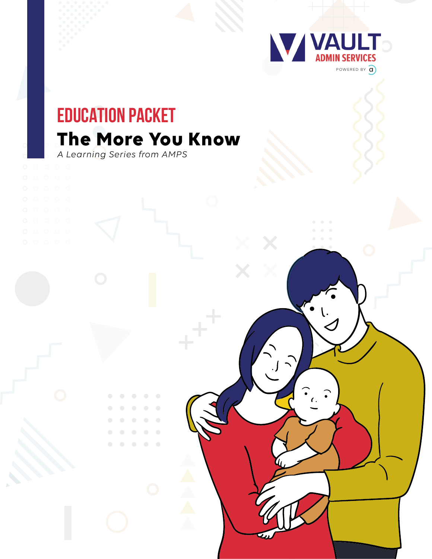

## **The More You Know EDUCATION PACKET**

*A Learning Series from AMPS*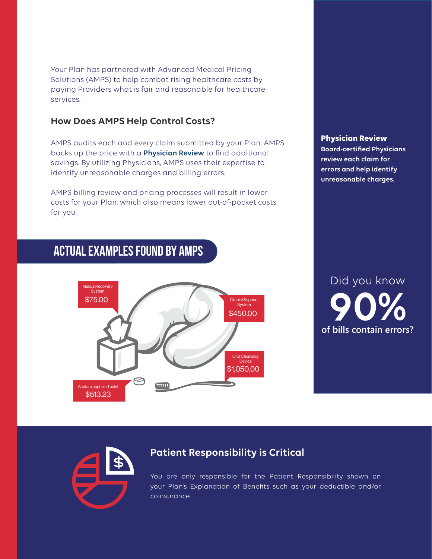Your Plan has partnered with Advanced Medical Pricing Solutions (AMPS) to help combat rising healthcare costs by paying Providers what is fair and reasonable for healthcare services.

#### **How Does AMPS Help Control Costs?**

AMPS audits each and every claim submitted by your Plan. AMPS backs up the price with a **Physician Review** to find additional savings. By utilizing Physicians, AMPS uses their expertise to identify unreasonable charges and billing errors.

AMPS billing review and pricing processes will result in lower costs for your Plan, which also means lower out-of-pocket costs for you.

## **Actual Examples Found by AMPS**



#### **Physician Review**

**Board-certified Physicians review each claim for errors and help identify unreasonable charges.**

# Did you know **of bills contain errors?**



### **Patient Responsibility is Critical**

You are only responsible for the Patient Responsibility shown on your Plan's Explanation of Benefits such as your deductible and/or coinsurance.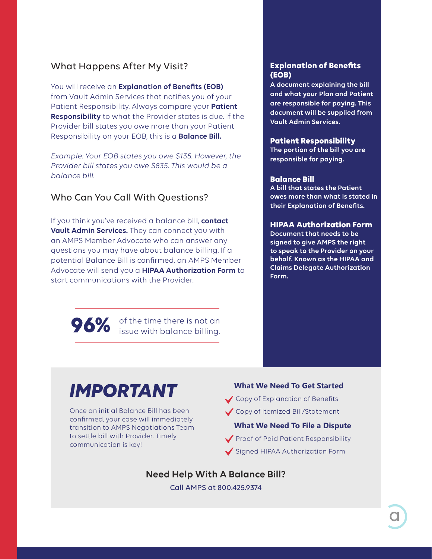#### What Happens After My Visit?

You will receive an **Explanation of Benefits (EOB)** from Vault Admin Services that notifies you of your Patient Responsibility. Always compare your **Patient Responsibility** to what the Provider states is due. If the Provider bill states you owe more than your Patient Responsibility on your EOB, this is a **Balance Bill.**

*Example: Your EOB states you owe \$135. However, the Provider bill states you owe \$835. This would be a balance bill.*

#### Who Can You Call With Questions?

If you think you've received a balance bill, **contact Vault Admin Services.** They can connect you with an AMPS Member Advocate who can answer any questions you may have about balance billing. If a potential Balance Bill is confirmed, an AMPS Member Advocate will send you a **HIPAA Authorization Form** to start communications with the Provider.

> of the time there is not an **96%** of the time there is not an issue with balance billing.

#### **Explanation of Benefits (EOB)**

**A document explaining the bill and what your Plan and Patient are responsible for paying. This document will be supplied from Vault Admin Services.**

#### **Patient Responsibility**

**The portion of the bill you are responsible for paying.** 

#### **Balance Bill**

**A bill that states the Patient owes more than what is stated in their Explanation of Benefits.**

#### **HIPAA Authorization Form**

**Document that needs to be signed to give AMPS the right to speak to the Provider on your behalf. Known as the HIPAA and Claims Delegate Authorization Form.**

## *IMPORTANT*

Once an initial Balance Bill has been confirmed, your case will immediately transition to AMPS Negotiations Team to settle bill with Provider. Timely communication is key!

## **What We Need To Get Started**

Copy of Explanation of Benefits

Copy of Itemized Bill/Statement

#### **What We Need To File a Dispute**

Proof of Paid Patient Responsibility Signed HIPAA Authorization Form

**Need Help With A Balance Bill?**

Call AMPS at 800.425.9374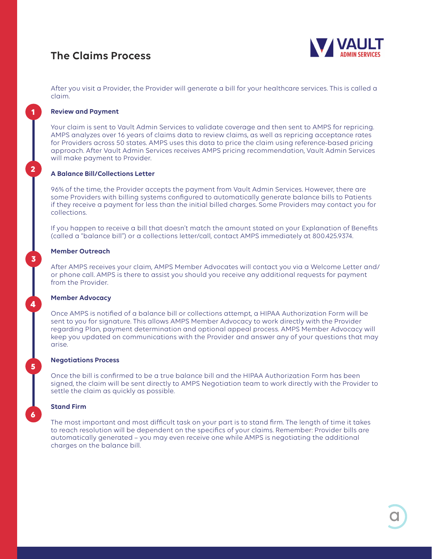### **The Claims Process**



After you visit a Provider, the Provider will generate a bill for your healthcare services. This is called a claim.

#### **Review and Payment**

**1**

**2**

**3**

4

**5**

**6**

Your claim is sent to Vault Admin Services to validate coverage and then sent to AMPS for repricing. AMPS analyzes over 16 years of claims data to review claims, as well as repricing acceptance rates for Providers across 50 states. AMPS uses this data to price the claim using reference-based pricing approach. After Vault Admin Services receives AMPS pricing recommendation, Vault Admin Services will make payment to Provider.

#### **A Balance Bill/Collections Letter**

96% of the time, the Provider accepts the payment from Vault Admin Services. However, there are some Providers with billing systems configured to automatically generate balance bills to Patients if they receive a payment for less than the initial billed charges. Some Providers may contact you for collections.

If you happen to receive a bill that doesn't match the amount stated on your Explanation of Benefits (called a "balance bill") or a collections letter/call, contact AMPS immediately at 800.425.9374.

#### **Member Outreach**

After AMPS receives your claim, AMPS Member Advocates will contact you via a Welcome Letter and/ or phone call. AMPS is there to assist you should you receive any additional requests for payment from the Provider.

#### **Member Advocacy**

Once AMPS is notified of a balance bill or collections attempt, a HIPAA Authorization Form will be sent to you for signature. This allows AMPS Member Advocacy to work directly with the Provider regarding Plan, payment determination and optional appeal process. AMPS Member Advocacy will keep you updated on communications with the Provider and answer any of your questions that may arise.

#### **Negotiations Process**

Once the bill is confirmed to be a true balance bill and the HIPAA Authorization Form has been signed, the claim will be sent directly to AMPS Negotiation team to work directly with the Provider to settle the claim as quickly as possible.

#### **Stand Firm**

The most important and most difficult task on your part is to stand firm. The length of time it takes to reach resolution will be dependent on the specifics of your claims. Remember: Provider bills are automatically generated – you may even receive one while AMPS is negotiating the additional charges on the balance bill.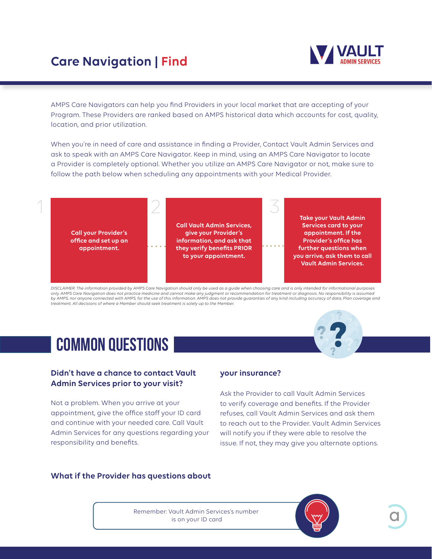## **Care Navigation | Find**



AMPS Care Navigators can help you find Providers in your local market that are accepting of your Program. These Providers are ranked based on AMPS historical data which accounts for cost, quality, location, and prior utilization.

When you're in need of care and assistance in finding a Provider, Contact Vault Admin Services and ask to speak with an AMPS Care Navigator. Keep in mind, using an AMPS Care Navigator to locate a Provider is completely optional. Whether you utilize an AMPS Care Navigator or not, make sure to follow the path below when scheduling any appointments with your Medical Provider.



*DISCLAIMER: The information provided by AMPS Care Navigation should only be used as a guide when choosing care and is only intended for informational purposes only. AMPS Care Navigation does not practice medicine and cannot make any judgment or recommendation for treatment or diagnosis. No responsibility is assumed by AMPS, nor anyone connected with AMPS, for the use of this information. AMPS does not provide guaranties of any kind including accuracy of data, Plan coverage and treatment. All decisions of where a Member should seek treatment is solely up to the Member.*

## **COMMON QUESTIONS**

#### **Didn't have a chance to contact Vault Admin Services prior to your visit?**

Not a problem. When you arrive at your appointment, give the office staff your ID card and continue with your needed care. Call Vault Admin Services for any questions regarding your responsibility and benefits.

#### **your insurance?**

Ask the Provider to call Vault Admin Services to verify coverage and benefits. If the Provider refuses, call Vault Admin Services and ask them to reach out to the Provider. Vault Admin Services will notify you if they were able to resolve the issue. If not, they may give you alternate options.

#### **What if the Provider has questions about**

Remember: Vault Admin Services's number is on your ID card

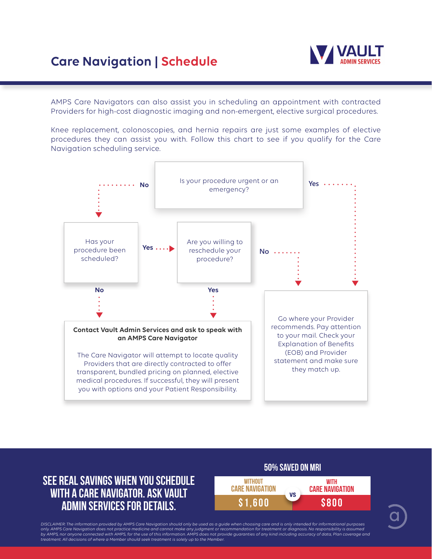## **Care Navigation | Schedule**



AMPS Care Navigators can also assist you in scheduling an appointment with contracted Providers for high-cost diagnostic imaging and non-emergent, elective surgical procedures.

Knee replacement, colonoscopies, and hernia repairs are just some examples of elective procedures they can assist you with. Follow this chart to see if you qualify for the Care Navigation scheduling service.



### **See Real Savings When You Schedule with a Care Navigator. Ask Vault Admin Services for details.**



DISCLAIMER: The information provided by AMPS Care Navigation should only be used as a guide when choosing care and is only intended for informational purposes<br>only. AMPS Care Navigation does not practice medicine and canno by AMPS, nor anyone connected with AMPS, for the use of this information. AMPS does not provide guaranties of any kind including accuracy of data, Plan coverage and *treatment. All decisions of where a Member should seek treatment is solely up to the Member.*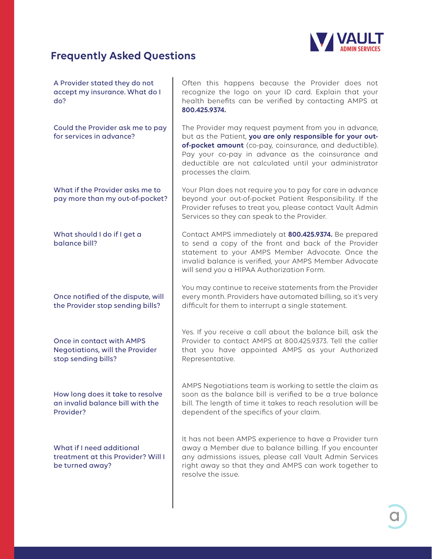

## **Frequently Asked Questions**

| A Provider stated they do not<br>accept my insurance. What do I<br>do?              | Often this happens because the Provider does not<br>recognize the logo on your ID card. Explain that your<br>health benefits can be verified by contacting AMPS at<br>800.425.9374.                                                                                                                                   |
|-------------------------------------------------------------------------------------|-----------------------------------------------------------------------------------------------------------------------------------------------------------------------------------------------------------------------------------------------------------------------------------------------------------------------|
| Could the Provider ask me to pay<br>for services in advance?                        | The Provider may request payment from you in advance,<br>but as the Patient, you are only responsible for your out-<br>of-pocket amount (co-pay, coinsurance, and deductible).<br>Pay your co-pay in advance as the coinsurance and<br>deductible are not calculated until your administrator<br>processes the claim. |
| What if the Provider asks me to<br>pay more than my out-of-pocket?                  | Your Plan does not require you to pay for care in advance<br>beyond your out-of-pocket Patient Responsibility. If the<br>Provider refuses to treat you, please contact Vault Admin<br>Services so they can speak to the Provider.                                                                                     |
| What should I do if I get a<br>balance bill?                                        | Contact AMPS immediately at 800.425.9374. Be prepared<br>to send a copy of the front and back of the Provider<br>statement to your AMPS Member Advocate. Once the<br>invalid balance is verified, your AMPS Member Advocate<br>will send you a HIPAA Authorization Form.                                              |
| Once notified of the dispute, will<br>the Provider stop sending bills?              | You may continue to receive statements from the Provider<br>every month. Providers have automated billing, so it's very<br>difficult for them to interrupt a single statement.                                                                                                                                        |
| Once in contact with AMPS<br>Negotiations, will the Provider<br>stop sending bills? | Yes. If you receive a call about the balance bill, ask the<br>Provider to contact AMPS at 800.425.9373. Tell the caller<br>that you have appointed AMPS as your Authorized<br>Representative.                                                                                                                         |
| How long does it take to resolve<br>an invalid balance bill with the<br>Provider?   | AMPS Negotiations team is working to settle the claim as<br>soon as the balance bill is verified to be a true balance<br>bill. The length of time it takes to reach resolution will be<br>dependent of the specifics of your claim.                                                                                   |
| What if I need additional<br>treatment at this Provider? Will I<br>be turned away?  | It has not been AMPS experience to have a Provider turn<br>away a Member due to balance billing. If you encounter<br>any admissions issues, please call Vault Admin Services<br>right away so that they and AMPS can work together to<br>resolve the issue.                                                           |
|                                                                                     |                                                                                                                                                                                                                                                                                                                       |